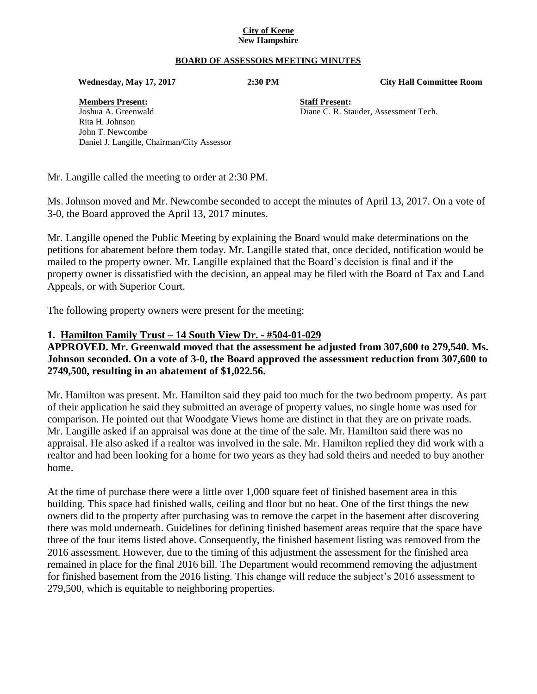#### **City of Keene New Hampshire**

#### **BOARD OF ASSESSORS MEETING MINUTES**

 **Wednesday, May 17, 2017 2:30 PM City Hall Committee Room**

**Members Present: Staff Present:** Joshua A. Greenwald Diane C. R. Stauder, Assessment Tech. Rita H. Johnson John T. Newcombe Daniel J. Langille, Chairman/City Assessor

Mr. Langille called the meeting to order at 2:30 PM.

Ms. Johnson moved and Mr. Newcombe seconded to accept the minutes of April 13, 2017. On a vote of 3-0, the Board approved the April 13, 2017 minutes.

Mr. Langille opened the Public Meeting by explaining the Board would make determinations on the petitions for abatement before them today. Mr. Langille stated that, once decided, notification would be mailed to the property owner. Mr. Langille explained that the Board's decision is final and if the property owner is dissatisfied with the decision, an appeal may be filed with the Board of Tax and Land Appeals, or with Superior Court.

The following property owners were present for the meeting:

#### **1. Hamilton Family Trust – 14 South View Dr. - #504-01-029**

## **APPROVED. Mr. Greenwald moved that the assessment be adjusted from 307,600 to 279,540. Ms. Johnson seconded. On a vote of 3-0, the Board approved the assessment reduction from 307,600 to 2749,500, resulting in an abatement of \$1,022.56.**

Mr. Hamilton was present. Mr. Hamilton said they paid too much for the two bedroom property. As part of their application he said they submitted an average of property values, no single home was used for comparison. He pointed out that Woodgate Views home are distinct in that they are on private roads. Mr. Langille asked if an appraisal was done at the time of the sale. Mr. Hamilton said there was no appraisal. He also asked if a realtor was involved in the sale. Mr. Hamilton replied they did work with a realtor and had been looking for a home for two years as they had sold theirs and needed to buy another home.

At the time of purchase there were a little over 1,000 square feet of finished basement area in this building. This space had finished walls, ceiling and floor but no heat. One of the first things the new owners did to the property after purchasing was to remove the carpet in the basement after discovering there was mold underneath. Guidelines for defining finished basement areas require that the space have three of the four items listed above. Consequently, the finished basement listing was removed from the 2016 assessment. However, due to the timing of this adjustment the assessment for the finished area remained in place for the final 2016 bill. The Department would recommend removing the adjustment for finished basement from the 2016 listing. This change will reduce the subject's 2016 assessment to 279,500, which is equitable to neighboring properties.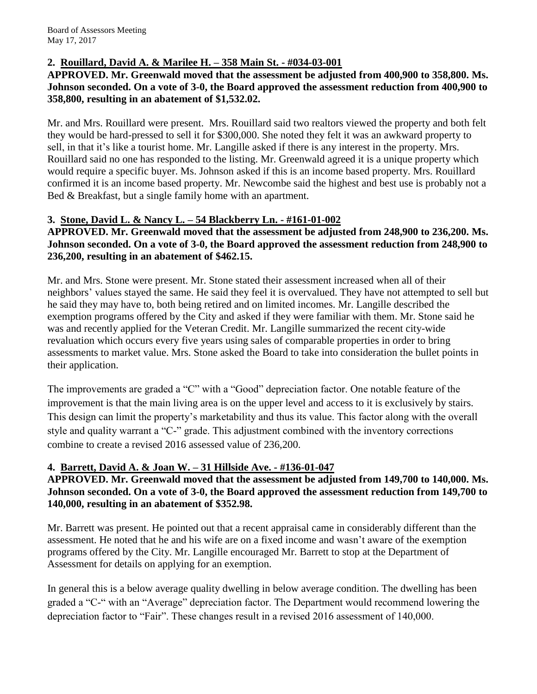# **2. Rouillard, David A. & Marilee H. – 358 Main St. - #034-03-001**

## **APPROVED. Mr. Greenwald moved that the assessment be adjusted from 400,900 to 358,800. Ms. Johnson seconded. On a vote of 3-0, the Board approved the assessment reduction from 400,900 to 358,800, resulting in an abatement of \$1,532.02.**

Mr. and Mrs. Rouillard were present. Mrs. Rouillard said two realtors viewed the property and both felt they would be hard-pressed to sell it for \$300,000. She noted they felt it was an awkward property to sell, in that it's like a tourist home. Mr. Langille asked if there is any interest in the property. Mrs. Rouillard said no one has responded to the listing. Mr. Greenwald agreed it is a unique property which would require a specific buyer. Ms. Johnson asked if this is an income based property. Mrs. Rouillard confirmed it is an income based property. Mr. Newcombe said the highest and best use is probably not a Bed & Breakfast, but a single family home with an apartment.

# **3. Stone, David L. & Nancy L. – 54 Blackberry Ln. - #161-01-002**

**APPROVED. Mr. Greenwald moved that the assessment be adjusted from 248,900 to 236,200. Ms. Johnson seconded. On a vote of 3-0, the Board approved the assessment reduction from 248,900 to 236,200, resulting in an abatement of \$462.15.**

Mr. and Mrs. Stone were present. Mr. Stone stated their assessment increased when all of their neighbors' values stayed the same. He said they feel it is overvalued. They have not attempted to sell but he said they may have to, both being retired and on limited incomes. Mr. Langille described the exemption programs offered by the City and asked if they were familiar with them. Mr. Stone said he was and recently applied for the Veteran Credit. Mr. Langille summarized the recent city-wide revaluation which occurs every five years using sales of comparable properties in order to bring assessments to market value. Mrs. Stone asked the Board to take into consideration the bullet points in their application.

The improvements are graded a "C" with a "Good" depreciation factor. One notable feature of the improvement is that the main living area is on the upper level and access to it is exclusively by stairs. This design can limit the property's marketability and thus its value. This factor along with the overall style and quality warrant a "C-" grade. This adjustment combined with the inventory corrections combine to create a revised 2016 assessed value of 236,200.

## **4. Barrett, David A. & Joan W. – 31 Hillside Ave. - #136-01-047**

## **APPROVED. Mr. Greenwald moved that the assessment be adjusted from 149,700 to 140,000. Ms. Johnson seconded. On a vote of 3-0, the Board approved the assessment reduction from 149,700 to 140,000, resulting in an abatement of \$352.98.**

Mr. Barrett was present. He pointed out that a recent appraisal came in considerably different than the assessment. He noted that he and his wife are on a fixed income and wasn't aware of the exemption programs offered by the City. Mr. Langille encouraged Mr. Barrett to stop at the Department of Assessment for details on applying for an exemption.

In general this is a below average quality dwelling in below average condition. The dwelling has been graded a "C-" with an "Average" depreciation factor. The Department would recommend lowering the depreciation factor to "Fair". These changes result in a revised 2016 assessment of 140,000.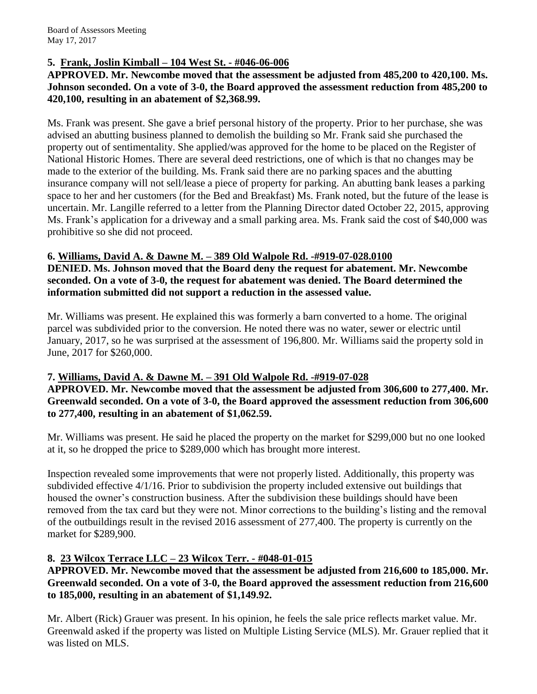# **5. Frank, Joslin Kimball – 104 West St. - #046-06-006**

#### **APPROVED. Mr. Newcombe moved that the assessment be adjusted from 485,200 to 420,100. Ms. Johnson seconded. On a vote of 3-0, the Board approved the assessment reduction from 485,200 to 420,100, resulting in an abatement of \$2,368.99.**

Ms. Frank was present. She gave a brief personal history of the property. Prior to her purchase, she was advised an abutting business planned to demolish the building so Mr. Frank said she purchased the property out of sentimentality. She applied/was approved for the home to be placed on the Register of National Historic Homes. There are several deed restrictions, one of which is that no changes may be made to the exterior of the building. Ms. Frank said there are no parking spaces and the abutting insurance company will not sell/lease a piece of property for parking. An abutting bank leases a parking space to her and her customers (for the Bed and Breakfast) Ms. Frank noted, but the future of the lease is uncertain. Mr. Langille referred to a letter from the Planning Director dated October 22, 2015, approving Ms. Frank's application for a driveway and a small parking area. Ms. Frank said the cost of \$40,000 was prohibitive so she did not proceed.

#### **6. Williams, David A. & Dawne M. – 389 Old Walpole Rd. -#919-07-028.0100**

**DENIED. Ms. Johnson moved that the Board deny the request for abatement. Mr. Newcombe seconded. On a vote of 3-0, the request for abatement was denied. The Board determined the information submitted did not support a reduction in the assessed value.**

Mr. Williams was present. He explained this was formerly a barn converted to a home. The original parcel was subdivided prior to the conversion. He noted there was no water, sewer or electric until January, 2017, so he was surprised at the assessment of 196,800. Mr. Williams said the property sold in June, 2017 for \$260,000.

## **7. Williams, David A. & Dawne M. – 391 Old Walpole Rd. -#919-07-028**

**APPROVED. Mr. Newcombe moved that the assessment be adjusted from 306,600 to 277,400. Mr. Greenwald seconded. On a vote of 3-0, the Board approved the assessment reduction from 306,600 to 277,400, resulting in an abatement of \$1,062.59.**

Mr. Williams was present. He said he placed the property on the market for \$299,000 but no one looked at it, so he dropped the price to \$289,000 which has brought more interest.

Inspection revealed some improvements that were not properly listed. Additionally, this property was subdivided effective 4/1/16. Prior to subdivision the property included extensive out buildings that housed the owner's construction business. After the subdivision these buildings should have been removed from the tax card but they were not. Minor corrections to the building's listing and the removal of the outbuildings result in the revised 2016 assessment of 277,400. The property is currently on the market for \$289,900.

# **8. 23 Wilcox Terrace LLC – 23 Wilcox Terr. - #048-01-015**

## **APPROVED. Mr. Newcombe moved that the assessment be adjusted from 216,600 to 185,000. Mr. Greenwald seconded. On a vote of 3-0, the Board approved the assessment reduction from 216,600 to 185,000, resulting in an abatement of \$1,149.92.**

Mr. Albert (Rick) Grauer was present. In his opinion, he feels the sale price reflects market value. Mr. Greenwald asked if the property was listed on Multiple Listing Service (MLS). Mr. Grauer replied that it was listed on MLS.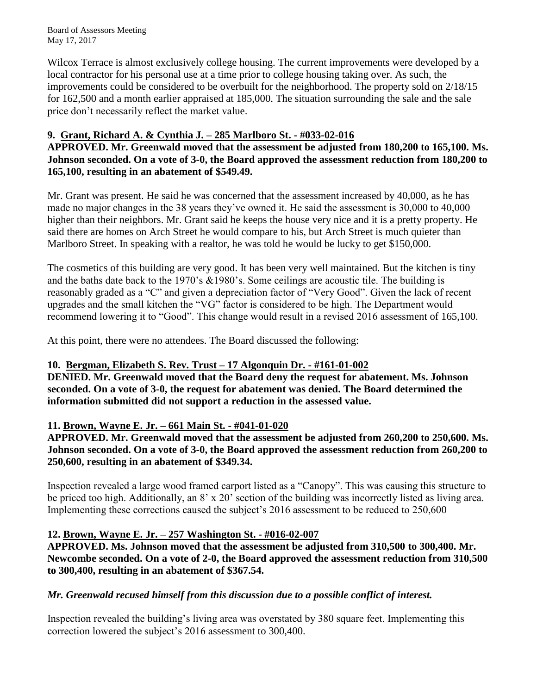Board of Assessors Meeting May 17, 2017

Wilcox Terrace is almost exclusively college housing. The current improvements were developed by a local contractor for his personal use at a time prior to college housing taking over. As such, the improvements could be considered to be overbuilt for the neighborhood. The property sold on 2/18/15 for 162,500 and a month earlier appraised at 185,000. The situation surrounding the sale and the sale price don't necessarily reflect the market value.

# **9. Grant, Richard A. & Cynthia J. – 285 Marlboro St. - #033-02-016**

# **APPROVED. Mr. Greenwald moved that the assessment be adjusted from 180,200 to 165,100. Ms. Johnson seconded. On a vote of 3-0, the Board approved the assessment reduction from 180,200 to 165,100, resulting in an abatement of \$549.49.**

Mr. Grant was present. He said he was concerned that the assessment increased by 40,000, as he has made no major changes in the 38 years they've owned it. He said the assessment is 30,000 to 40,000 higher than their neighbors. Mr. Grant said he keeps the house very nice and it is a pretty property. He said there are homes on Arch Street he would compare to his, but Arch Street is much quieter than Marlboro Street. In speaking with a realtor, he was told he would be lucky to get \$150,000.

The cosmetics of this building are very good. It has been very well maintained. But the kitchen is tiny and the baths date back to the 1970's &1980's. Some ceilings are acoustic tile. The building is reasonably graded as a "C" and given a depreciation factor of "Very Good". Given the lack of recent upgrades and the small kitchen the "VG" factor is considered to be high. The Department would recommend lowering it to "Good". This change would result in a revised 2016 assessment of 165,100.

At this point, there were no attendees. The Board discussed the following:

## **10. Bergman, Elizabeth S. Rev. Trust – 17 Algonquin Dr. - #161-01-002**

**DENIED. Mr. Greenwald moved that the Board deny the request for abatement. Ms. Johnson seconded. On a vote of 3-0, the request for abatement was denied. The Board determined the information submitted did not support a reduction in the assessed value.**

## **11. Brown, Wayne E. Jr. – 661 Main St. - #041-01-020**

**APPROVED. Mr. Greenwald moved that the assessment be adjusted from 260,200 to 250,600. Ms. Johnson seconded. On a vote of 3-0, the Board approved the assessment reduction from 260,200 to 250,600, resulting in an abatement of \$349.34.**

Inspection revealed a large wood framed carport listed as a "Canopy". This was causing this structure to be priced too high. Additionally, an 8' x 20' section of the building was incorrectly listed as living area. Implementing these corrections caused the subject's 2016 assessment to be reduced to 250,600

## **12. Brown, Wayne E. Jr. – 257 Washington St. - #016-02-007**

**APPROVED. Ms. Johnson moved that the assessment be adjusted from 310,500 to 300,400. Mr. Newcombe seconded. On a vote of 2-0, the Board approved the assessment reduction from 310,500 to 300,400, resulting in an abatement of \$367.54.**

## *Mr. Greenwald recused himself from this discussion due to a possible conflict of interest.*

Inspection revealed the building's living area was overstated by 380 square feet. Implementing this correction lowered the subject's 2016 assessment to 300,400.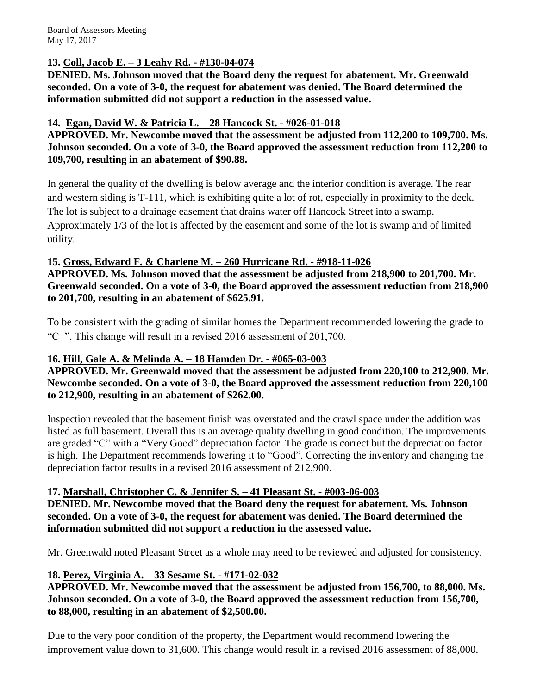Board of Assessors Meeting May 17, 2017

## **13. Coll, Jacob E. – 3 Leahy Rd. - #130-04-074**

**DENIED. Ms. Johnson moved that the Board deny the request for abatement. Mr. Greenwald seconded. On a vote of 3-0, the request for abatement was denied. The Board determined the information submitted did not support a reduction in the assessed value.**

#### **14. Egan, David W. & Patricia L. – 28 Hancock St. - #026-01-018**

**APPROVED. Mr. Newcombe moved that the assessment be adjusted from 112,200 to 109,700. Ms. Johnson seconded. On a vote of 3-0, the Board approved the assessment reduction from 112,200 to 109,700, resulting in an abatement of \$90.88.**

In general the quality of the dwelling is below average and the interior condition is average. The rear and western siding is T-111, which is exhibiting quite a lot of rot, especially in proximity to the deck. The lot is subject to a drainage easement that drains water off Hancock Street into a swamp. Approximately 1/3 of the lot is affected by the easement and some of the lot is swamp and of limited utility.

## **15. Gross, Edward F. & Charlene M. – 260 Hurricane Rd. - #918-11-026**

**APPROVED. Ms. Johnson moved that the assessment be adjusted from 218,900 to 201,700. Mr. Greenwald seconded. On a vote of 3-0, the Board approved the assessment reduction from 218,900 to 201,700, resulting in an abatement of \$625.91.**

To be consistent with the grading of similar homes the Department recommended lowering the grade to "C+". This change will result in a revised 2016 assessment of 201,700.

## **16. Hill, Gale A. & Melinda A. – 18 Hamden Dr. - #065-03-003**

**APPROVED. Mr. Greenwald moved that the assessment be adjusted from 220,100 to 212,900. Mr. Newcombe seconded. On a vote of 3-0, the Board approved the assessment reduction from 220,100 to 212,900, resulting in an abatement of \$262.00.**

Inspection revealed that the basement finish was overstated and the crawl space under the addition was listed as full basement. Overall this is an average quality dwelling in good condition. The improvements are graded "C" with a "Very Good" depreciation factor. The grade is correct but the depreciation factor is high. The Department recommends lowering it to "Good". Correcting the inventory and changing the depreciation factor results in a revised 2016 assessment of 212,900.

## **17. Marshall, Christopher C. & Jennifer S. – 41 Pleasant St. - #003-06-003**

**DENIED. Mr. Newcombe moved that the Board deny the request for abatement. Ms. Johnson seconded. On a vote of 3-0, the request for abatement was denied. The Board determined the information submitted did not support a reduction in the assessed value.**

Mr. Greenwald noted Pleasant Street as a whole may need to be reviewed and adjusted for consistency.

## **18. Perez, Virginia A. – 33 Sesame St. - #171-02-032**

**APPROVED. Mr. Newcombe moved that the assessment be adjusted from 156,700, to 88,000. Ms. Johnson seconded. On a vote of 3-0, the Board approved the assessment reduction from 156,700, to 88,000, resulting in an abatement of \$2,500.00.**

Due to the very poor condition of the property, the Department would recommend lowering the improvement value down to 31,600. This change would result in a revised 2016 assessment of 88,000.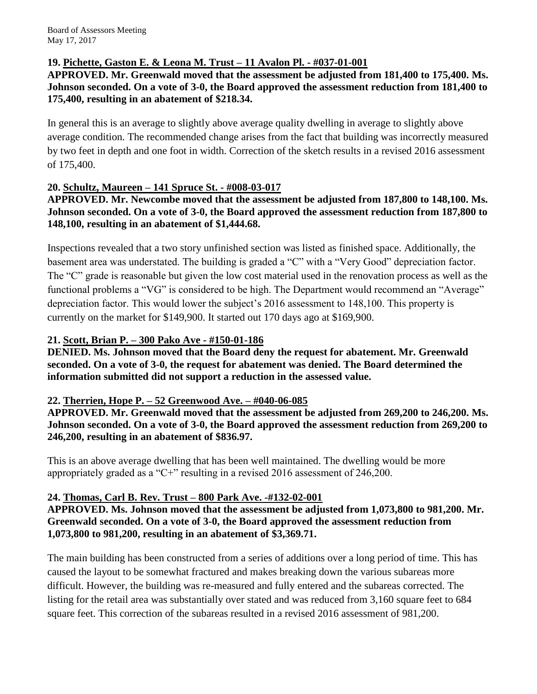# **19. Pichette, Gaston E. & Leona M. Trust – 11 Avalon Pl. - #037-01-001**

## **APPROVED. Mr. Greenwald moved that the assessment be adjusted from 181,400 to 175,400. Ms. Johnson seconded. On a vote of 3-0, the Board approved the assessment reduction from 181,400 to 175,400, resulting in an abatement of \$218.34.**

In general this is an average to slightly above average quality dwelling in average to slightly above average condition. The recommended change arises from the fact that building was incorrectly measured by two feet in depth and one foot in width. Correction of the sketch results in a revised 2016 assessment of 175,400.

## **20. Schultz, Maureen – 141 Spruce St. - #008-03-017**

**APPROVED. Mr. Newcombe moved that the assessment be adjusted from 187,800 to 148,100. Ms. Johnson seconded. On a vote of 3-0, the Board approved the assessment reduction from 187,800 to 148,100, resulting in an abatement of \$1,444.68.**

Inspections revealed that a two story unfinished section was listed as finished space. Additionally, the basement area was understated. The building is graded a "C" with a "Very Good" depreciation factor. The "C" grade is reasonable but given the low cost material used in the renovation process as well as the functional problems a "VG" is considered to be high. The Department would recommend an "Average" depreciation factor. This would lower the subject's 2016 assessment to 148,100. This property is currently on the market for \$149,900. It started out 170 days ago at \$169,900.

## **21. Scott, Brian P. – 300 Pako Ave - #150-01-186**

**DENIED. Ms. Johnson moved that the Board deny the request for abatement. Mr. Greenwald seconded. On a vote of 3-0, the request for abatement was denied. The Board determined the information submitted did not support a reduction in the assessed value.**

## **22. Therrien, Hope P. – 52 Greenwood Ave. – #040-06-085**

**APPROVED. Mr. Greenwald moved that the assessment be adjusted from 269,200 to 246,200. Ms. Johnson seconded. On a vote of 3-0, the Board approved the assessment reduction from 269,200 to 246,200, resulting in an abatement of \$836.97.**

This is an above average dwelling that has been well maintained. The dwelling would be more appropriately graded as a "C+" resulting in a revised 2016 assessment of 246,200.

## **24. Thomas, Carl B. Rev. Trust – 800 Park Ave. -#132-02-001**

**APPROVED. Ms. Johnson moved that the assessment be adjusted from 1,073,800 to 981,200. Mr. Greenwald seconded. On a vote of 3-0, the Board approved the assessment reduction from 1,073,800 to 981,200, resulting in an abatement of \$3,369.71.**

The main building has been constructed from a series of additions over a long period of time. This has caused the layout to be somewhat fractured and makes breaking down the various subareas more difficult. However, the building was re-measured and fully entered and the subareas corrected. The listing for the retail area was substantially over stated and was reduced from 3,160 square feet to 684 square feet. This correction of the subareas resulted in a revised 2016 assessment of 981,200.